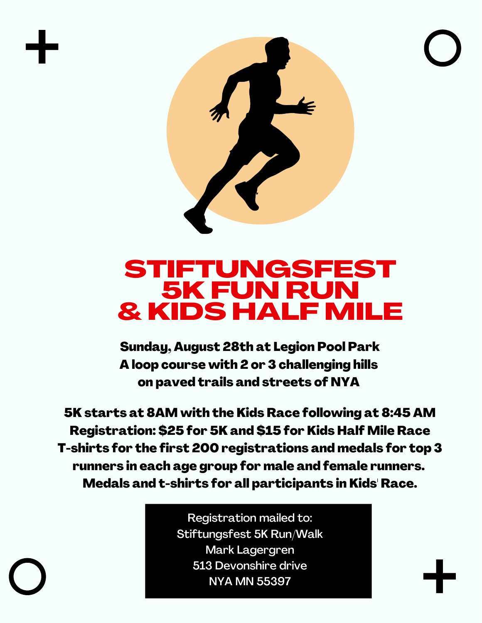

## STIFTUNGSFEST 5K FUN RUN & KIDS HALF MILE

Sunday, August 28th at Legion Pool Park A loop course with 2 or 3 challenging hills on paved trails and streets of NYA

5K starts at 8AM with the Kids Race following at 8:45 AM Registration: \$25 for 5K and \$15 for Kids Half Mile Race T-shirts for the first 200 registrations and medals for top 3 runners in each age group for male and female runners. Medals and t-shirts for all participants in Kids' Race.

> Registration mailed to: Stiftungsfest 5K Run/Walk Mark Lagergren 513 Devonshire drive NYA MN 55397